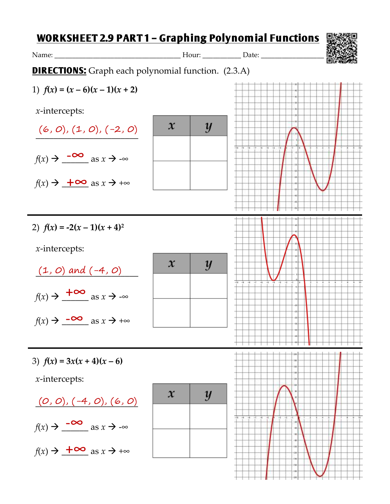